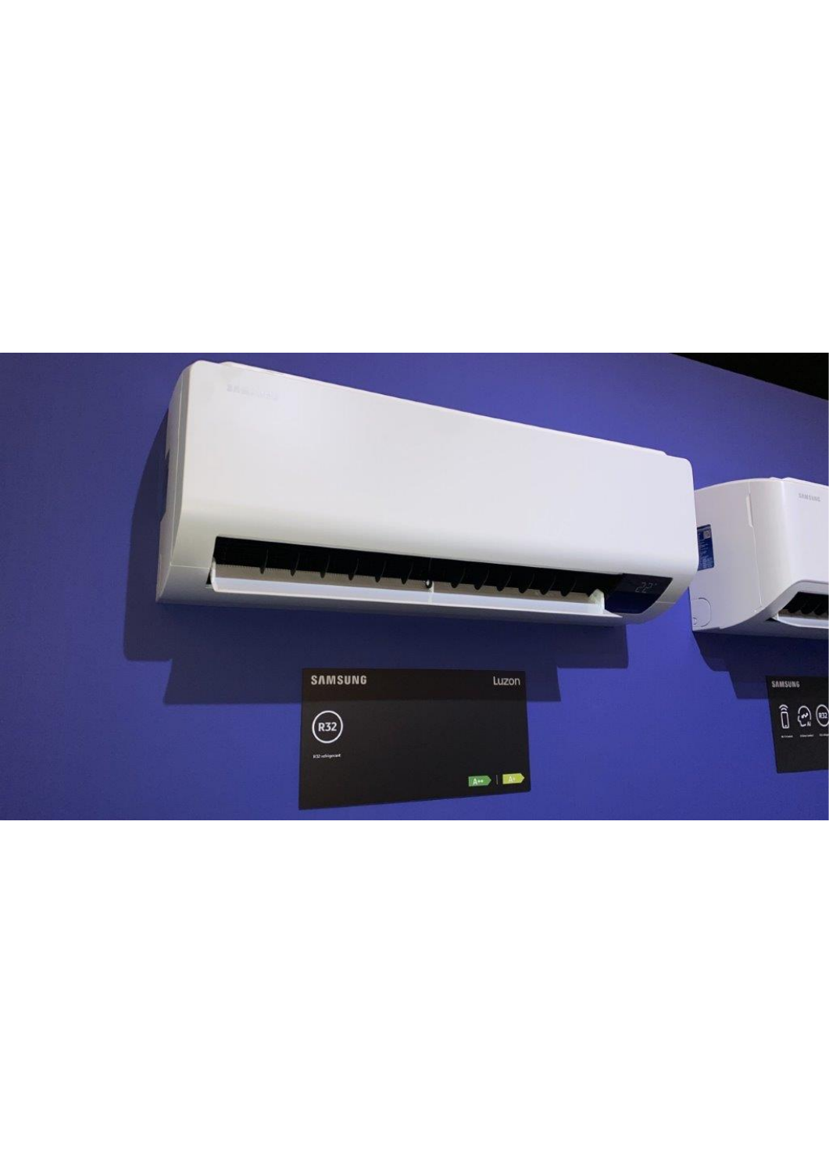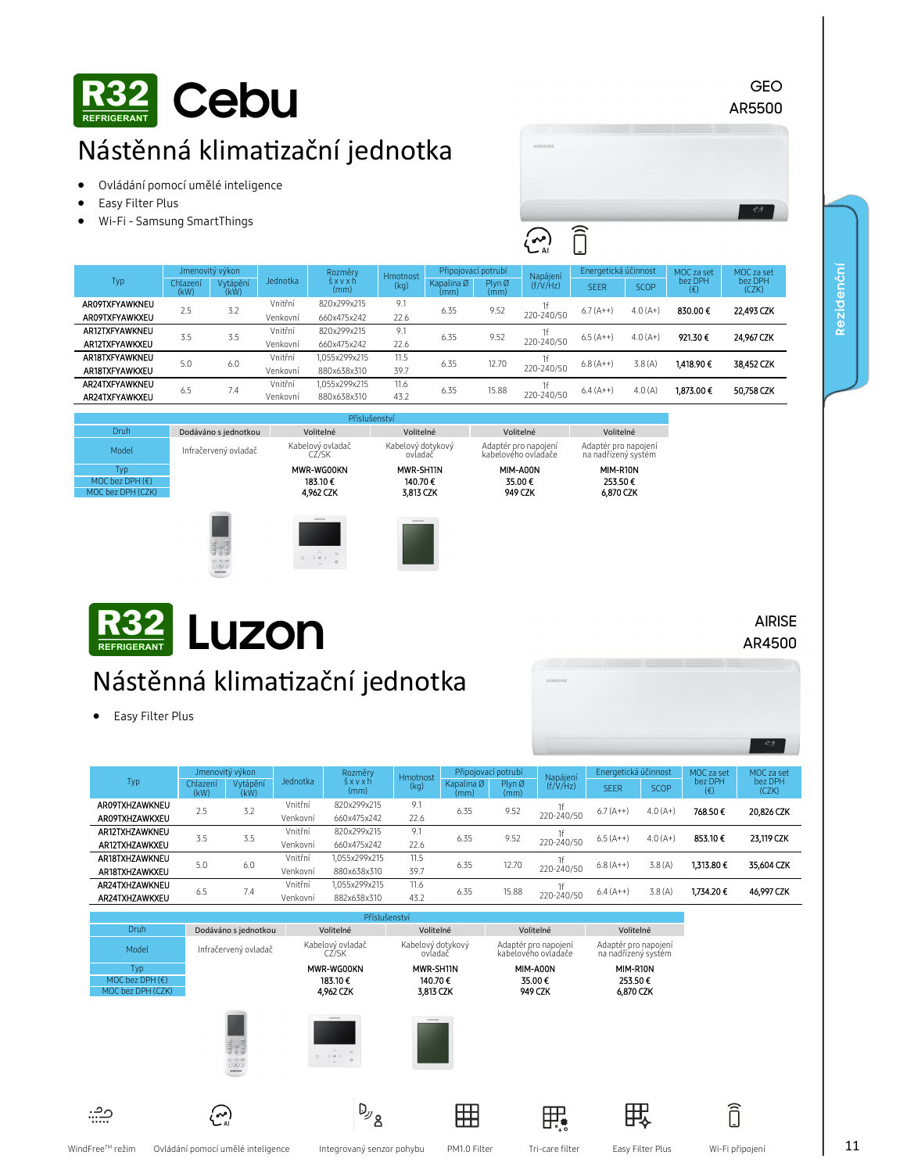

## Nástěnná klimatizační jednotka

## • Easy Filter Plus

|  |  | $\vec{c}$ $\vec{\jmath}$ |
|--|--|--------------------------|
|  |  |                          |

|                |                  | Jmenovitý výkon  |          | Rozměry             | Hmotnost | Připojovací potrubí |                | Napájení   | Energetická účinnost |             | MOC za set     | MOC za set       |
|----------------|------------------|------------------|----------|---------------------|----------|---------------------|----------------|------------|----------------------|-------------|----------------|------------------|
| Typ            | Chlazení<br>(kW) | Vytápění<br>(kW) | Jednotka | šxvxh<br>(mm)       | (kq)     | Kapalina Ø<br>(mm)  | Plyn Ø<br>(mm) | (f/V/Hz)   | <b>SEER</b>          | <b>SCOP</b> | bez DPH<br>(€) | bez DPH<br>(CZK) |
| AR09TXHZAWKNEU | 2.5              | 3.2              | Vnitřní  | 820x299x215         | 9.1      | 6.35                | 9.52           | 1f         | $6.7(A++)$           | $4.0(A+)$   | 768.50€        | 20,826 CZK       |
| AR09TXHZAWKXEU |                  |                  | Venkovní | 660x475x242         | 22.6     |                     |                | 220-240/50 |                      |             |                |                  |
| AR12TXHZAWKNEU | 3.5              | 3.5              | Vnitřní  | 820x299x215         | 9.1      | 6.35                | 9.52           | 1f         | $6.5(A++)$           | $4.0(A+)$   | 853.10€        | 23.119 CZK       |
| AR12TXHZAWKXEU |                  |                  | Venkovní | 660x475x242         | 22.6     |                     |                | 220-240/50 |                      |             |                |                  |
| AR18TXHZAWKNEU |                  | 6.0              | Vnitřní  | 1.055x299x215       | 11.5     | 6.35                | 12.70          | 1f         | $6.8(A++)$           | 3.8(A)      | 1,313.80€      | 35,604 CZK       |
| AR18TXHZAWKXEU | 5.0              |                  | Venkovní | 39.7<br>880x638x310 |          | 220-240/50          |                |            |                      |             |                |                  |
| AR24TXHZAWKNEU |                  | 7.4              | Vnitřní  | 1.055x299x215       | 11.6     | 6.35                | 15.88          | 1f         | $6.4(A++)$           | 3.8(A)      | 1.734.20€      | 46,997 CZK       |
| AR24TXHZAWKXEU | 6.5              |                  | Venkovní | 882x638x310         | 43.2     |                     |                | 220-240/50 |                      |             |                |                  |

| Příslušenství                   |                      |                           |                              |                                             |                                             |  |  |  |
|---------------------------------|----------------------|---------------------------|------------------------------|---------------------------------------------|---------------------------------------------|--|--|--|
| <b>Druh</b>                     | Dodáváno s jednotkou | Volitelné                 | Volitelné                    | Volitelné                                   | Volitelné                                   |  |  |  |
| Model                           | Infračervený ovladač | Kabelový ovladač<br>CZ/SK | Kabelový dotykový<br>ovladač | Adaptér pro napojení<br>kabelového ovladače | Adaptér pro napojení<br>na nadřízený systém |  |  |  |
| Tvo<br>MOC bez DPH $(\epsilon)$ |                      | MWR-WG00KN<br>183.10€     | MWR-SH11N<br>140.70€         | MIM-A00N<br>35.00€                          | MIM-R10N<br>253.50€                         |  |  |  |
| MOC bez DPH (CZK)               |                      | 4.962 CZK                 | 3.813 CZK                    | 949 CZK                                     | 6.870 CZK                                   |  |  |  |
|                                 |                      |                           |                              |                                             |                                             |  |  |  |
|                                 |                      |                           |                              |                                             |                                             |  |  |  |







AIRISE AR4500